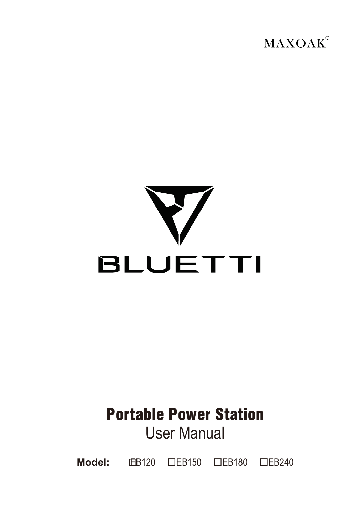



# Portable Power Station User Manual

**Model:**  EB120 EB150 EB180 EB240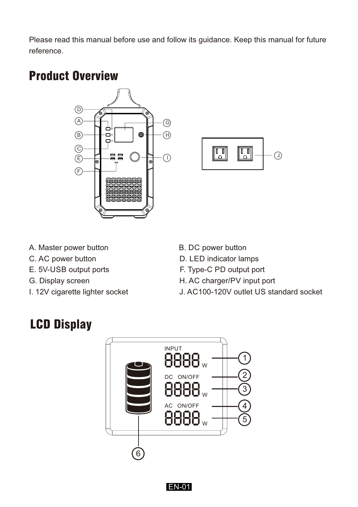Please read this manual before use and follow its guidance. Keep this manual for future reference.

### Product Overview





- A. Master power button B. DC power button
- 
- E. 5V-USB output ports F. Type-C PD output port
- 
- 
- 
- C. AC power button D. LED indicator lamps
	-
- G. Display screen **H. AC charger/PV** input port
- I. 12V cigarette lighter socket J. AC100-120V outlet US standard socket

### LCD Display



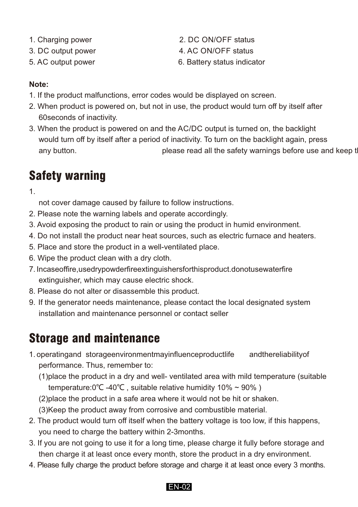- 
- 
- 
- 1. Charging power 2. DC ON/OFF status
- 3. DC output power 4. AC ON/OFF status
- 5. AC output power 6. Battery status indicator

### **Note:**

- 1. If the product malfunctions, error codes would be displayed on screen.
- 2. When product is powered on, but not in use, the product would turn off by itself after 60seconds of inactivity.
- 3. When the product is powered on and the AC/DC output is turned on, the backlight would turn off by itself after a period of inactivity. To turn on the backlight again, press any button. **please read all the safety warnings before use and keep the manual.**

# Safety warning

1.

not cover damage caused by failure to follow instructions.

- 2. Please note the warning labels and operate accordingly.
- 3. Avoid exposing the product to rain or using the product in humid environment.
- 4. Do not install the product near heat sources, such as electric furnace and heaters.
- 5. Place and store the product in a well-ventilated place.
- 6. Wipe the product clean with a dry cloth.
- 7. In case of fire, used ry powder fire extinguishers for this product. do not use water fire extinguisher, which may cause electric shock.
- 8. Please do not alter or disassemble this product.
- 9. If the generator needs maintenance, please contact the local designated system installation and maintenance personnel or contact seller

# Storage and maintenance

- 1. operating and storage environment may influence product life and the reliability of performance. Thus, remember to:
	- (1)place the product in a dry and well- ventilated area with mild temperature (suitable temperature:0℃ -40℃ , suitable relative humidity 10% ~ 90% )
	- (2)place the product in a safe area where it would not be hit or shaken.
	- (3)Keep the product away from corrosive and combustible material.
- 2. The product would turn off itself when the battery voltage is too low, if this happens, you need to charge the battery within 2-3months.
- 3. If you are not going to use it for a long time, please charge it fully before storage and then charge it at least once every month, store the product in a dry environment.
- 4. Please fully charge the product before storage and charge it at least once every 3 months.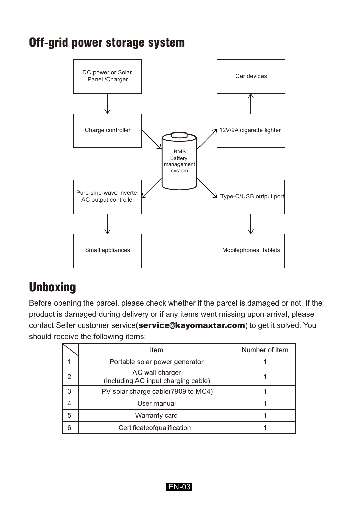### Off-grid power storage system



### **Unboxing**

Before opening the parcel, please check whether if the parcel is damaged or not. If the product is damaged during delivery or if any items went missing upon arrival, please contact Seller customer service(service@kayomaxtar.com) to get it solved. You should receive the following items:

|   | Item                                                   | Number of item |  |
|---|--------------------------------------------------------|----------------|--|
|   | Portable solar power generator                         |                |  |
| 2 | AC wall charger<br>(Including AC input charging cable) |                |  |
| 3 | PV solar charge cable(7909 to MC4)                     |                |  |
|   | User manual                                            |                |  |
| 5 | Warranty card                                          |                |  |
| 6 | Certificateofqualification                             |                |  |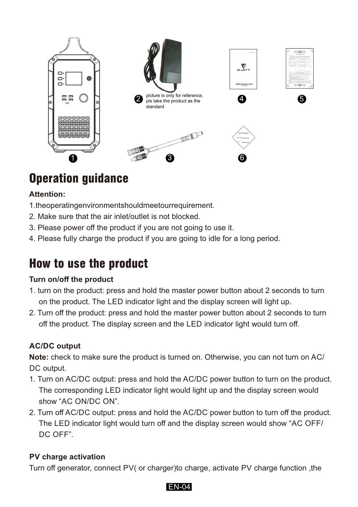

# Operation guidance

#### **Attention:**

- 1. the operating environments hould meet our requirement.
- 2. Make sure that the air inlet/outlet is not blocked.
- 3. Please power off the product if you are not going to use it.
- 4. Please fully charge the product if you are going to idle for a long period.

### How to use the product

#### **Turn on/off the product**

- 1. turn on the product: press and hold the master power button about 2 seconds to turn on the product. The LED indicator light and the display screen will light up.
- 2. Turn off the product: press and hold the master power button about 2 seconds to turn off the product. The display screen and the LED indicator light would turn off.

#### **AC/DC output**

**Note:** check to make sure the product is turned on. Otherwise, you can not turn on AC/ DC output.

- 1. Turn on AC/DC output: press and hold the AC/DC power button to turn on the product. The corresponding LED indicator light would light up and the display screen would show "AC ON/DC ON".
- 2. Turn off AC/DC output: press and hold the AC/DC power button to turn off the product. The LED indicator light would turn off and the display screen would show "AC OFF/ DC OFF".

#### **PV charge activation**

Turn off generator, connect PV( or charger)to charge, activate PV charge function ,the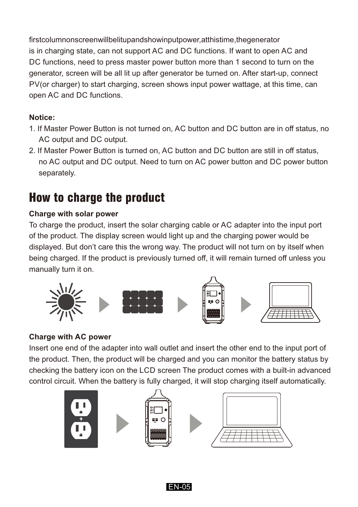first column on screen will be lit up and show input power, at this time, the generator is in charging state, can not support AC and DC functions. If want to open AC and DC functions, need to press master power button more than 1 second to turn on the generator, screen will be all lit up after generator be turned on. After start-up, connect PV(or charger) to start charging, screen shows input power wattage, at this time, can open AC and DC functions.

### **Notice:**

- 1. If Master Power Button is not turned on, AC button and DC button are in off status, no AC output and DC output.
- 2. If Master Power Button is turned on, AC button and DC button are still in off status, no AC output and DC output. Need to turn on AC power button and DC power button separately.

### How to charge the product

### **Charge with solar power**

To charge the product, insert the solar charging cable or AC adapter into the input port of the product. The display screen would light up and the charging power would be displayed. But don't care this the wrong way. The product will not turn on by itself when being charged. If the product is previously turned off, it will remain turned off unless you manually turn it on.



#### **Charge with AC power**

Insert one end of the adapter into wall outlet and insert the other end to the input port of the product. Then, the product will be charged and you can monitor the battery status by checking the battery icon on the LCD screen The product comes with a built-in advanced control circuit. When the battery is fully charged, it will stop charging itself automatically.







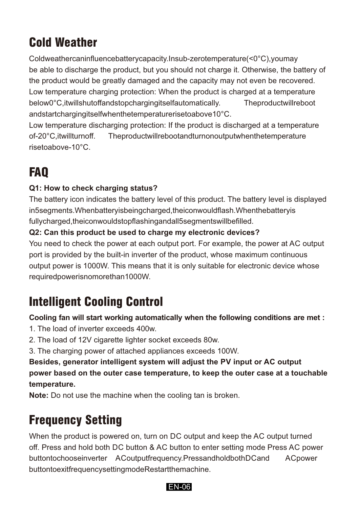# Cold Weather

Coldweather can influence battery capacity. In sub-zero temperature (<0°C), you may be able to discharge the product, but you should not charge it. Otherwise, the battery of the product would be greatly damaged and the capacity may not even be recovered. Low temperature charging protection: When the product is charged at a temperature below 0°C, it will shut of fand stop charging itself automatically. The product will reboot and start charging itself when the temperature rise to above 10°C.

Low temperature discharging protection: If the product is discharged at a temperature of -20°C, it will turn off. The product will reboot and turn on output when the temperature rise to above - 10°C.

# FAQ

#### **Q1: How to check charging status?**

The battery icon indicates the battery level of this product. The battery level is displayed in 5 segments. When battery is being charged, the icon would flash. When the battery is fully charged, the icon would stop flashing and all 5 segments will be filled.

#### **Q2: Can this product be used to charge my electronic devices?**

You need to check the power at each output port. For example, the power at AC output port is provided by the built-in inverter of the product, whose maximum continuous output power is 1000W. This means that it is only suitable for electronic device whose required power is no more than 1000W.

### Intelligent Cooling Control

**Cooling fan will start working automatically when the following conditions are met :**

- 1. The load of inverter exceeds 400w.
- 2. The load of 12V cigarette lighter socket exceeds 80w.
- 3. The charging power of attached appliances exceeds 100W.

**Besides, generator intelligent system will adjust the PV input or AC output power based on the outer case temperature, to keep the outer case at a touchable temperature.**

**Note:** Do not use the machine when the cooling tan is broken.

# Frequency Setting

When the product is powered on, turn on DC output and keep the AC output turned off. Press and hold both DC button & AC button to enter setting mode Press AC power button to choose inverter ACoutput frequency. Press and hold both DCand AC power button to exit frequency setting mode Restart the machine.

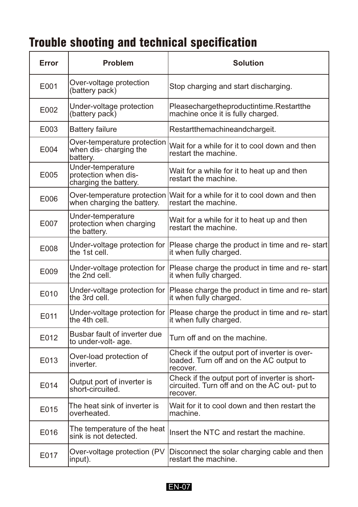# Trouble shooting and technical specification

| Error             | <b>Problem</b>                                                     | <b>Solution</b>                                                                                             |
|-------------------|--------------------------------------------------------------------|-------------------------------------------------------------------------------------------------------------|
| E001              | Over-voltage protection<br>(battery pack)                          | Stop charging and start discharging.                                                                        |
| F <sub>002</sub>  | Under-voltage protection<br>(battery pack)                         | Pleasechargetheproductintime.Restartthe<br>machine once it is fully charged.                                |
| E003              | <b>Battery failure</b>                                             | Restartthemachineandchargeit.                                                                               |
| E004              | Over-temperature protection<br>when dis- charging the<br>battery.  | Wait for a while for it to cool down and then<br>restart the machine.                                       |
| E005              | Under-temperature<br>protection when dis-<br>charging the battery. | Wait for a while for it to heat up and then<br>restart the machine.                                         |
| E006              | Over-temperature protection<br>when charging the battery.          | Wait for a while for it to cool down and then<br>restart the machine.                                       |
| E007              | Under-temperature<br>protection when charging<br>the battery.      | Wait for a while for it to heat up and then<br>restart the machine.                                         |
| E008              | Under-voltage protection for<br>the 1st cell.                      | Please charge the product in time and re-start<br>it when fully charged.                                    |
| E009              | Under-voltage protection for<br>the 2nd cell.                      | Please charge the product in time and re-start<br>it when fully charged.                                    |
| E010              | Under-voltage protection for<br>the 3rd cell.                      | Please charge the product in time and re-start<br>it when fully charged.                                    |
| F011              | Under-voltage protection for<br>the 4th cell.                      | Please charge the product in time and re- start<br>it when fully charged.                                   |
| E012              | Busbar fault of inverter due<br>to under-volt- age.                | Turn off and on the machine.                                                                                |
| E013              | Over-load protection of<br>inverter.                               | Check if the output port of inverter is over-<br>loaded. Turn off and on the AC output to<br>recover.       |
| F <sub>0</sub> 14 | Output port of inverter is<br>short-circuited.                     | Check if the output port of inverter is short-<br>circuited. Turn off and on the AC out- put to<br>recover. |
| E015              | The heat sink of inverter is<br>overheated.                        | Wait for it to cool down and then restart the<br>machine.                                                   |
| E016              | The temperature of the heat<br>sink is not detected.               | Insert the NTC and restart the machine.                                                                     |
| E017              | Over-voltage protection (PV<br>input).                             | Disconnect the solar charging cable and then<br>restart the machine.                                        |

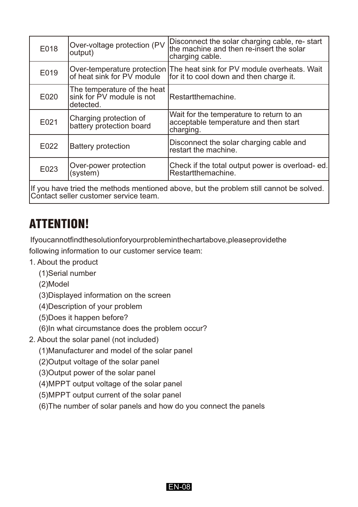| Over-voltage protection (PV<br>output)                                | Disconnect the solar charging cable, re-start<br>the machine and then re-insert the solar<br>charging cable. |
|-----------------------------------------------------------------------|--------------------------------------------------------------------------------------------------------------|
| Over-temperature protection<br>of heat sink for PV module             | The heat sink for PV module overheats. Wait<br>for it to cool down and then charge it.                       |
| The temperature of the heat<br>sink for PV module is not<br>detected. | Restartthemachine.                                                                                           |
| Charging protection of<br>battery protection board                    | Wait for the temperature to return to an<br>acceptable temperature and then start<br>charging.               |
| Battery protection                                                    | Disconnect the solar charging cable and<br>restart the machine.                                              |
| Over-power protection<br>(system)                                     | Check if the total output power is overload-ed.<br>Restartthemachine.                                        |
|                                                                       |                                                                                                              |

If you have tried the methods mentioned above, but the problem still cannot be solved. Contact seller customer service team.

### ATTENTION!

If you cannot find the solution for your problem in the chartabove, please provide the following information to our customer service team:

- 1. About the product
	- (1)Serial number
	- (2)Model
	- (3)Displayed information on the screen
	- (4)Description of your problem
	- (5)Does it happen before?
	- (6)In what circumstance does the problem occur?
- 2. About the solar panel (not included)
	- (1)Manufacturer and model of the solar panel
	- (2)Output voltage of the solar panel
	- (3)Output power of the solar panel
	- (4)MPPT output voltage of the solar panel
	- (5)MPPT output current of the solar panel
	- (6)The number of solar panels and how do you connect the panels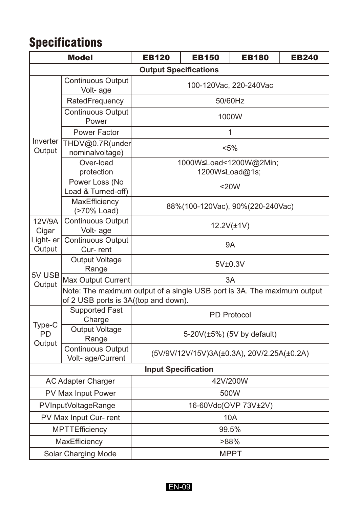# **Specifications**

| <b>Model</b>                  |                                                                                                                 | <b>EB120</b>                               | <b>EB150</b> | <b>EB180</b> | <b>EB240</b> |  |
|-------------------------------|-----------------------------------------------------------------------------------------------------------------|--------------------------------------------|--------------|--------------|--------------|--|
|                               |                                                                                                                 | <b>Output Specifications</b>               |              |              |              |  |
|                               | <b>Continuous Output</b><br>Volt-age                                                                            | 100-120Vac, 220-240Vac                     |              |              |              |  |
|                               | RatedFrequency                                                                                                  | 50/60Hz                                    |              |              |              |  |
|                               | Continuous Output<br>Power                                                                                      | 1000W                                      |              |              |              |  |
|                               | Power Factor                                                                                                    | 1                                          |              |              |              |  |
| Inverter<br>Output            | THDV@0.7R(under<br>nominalvoltage)                                                                              | $< 5\%$                                    |              |              |              |  |
|                               | Over-load<br>protection                                                                                         | 1000W≤Load<1200W@2Min;<br>1200W≤Load@1s;   |              |              |              |  |
|                               | Power Loss (No<br>Load & Turned-off)                                                                            | $20W$                                      |              |              |              |  |
|                               | MaxEfficiency<br>(>70% Load)                                                                                    | 88%(100-120Vac), 90%(220-240Vac)           |              |              |              |  |
| 12V/9A<br>Cigar               | Continuous Output<br>Volt-age                                                                                   | $12.2V(\pm 1V)$                            |              |              |              |  |
| Light- er<br>Output           | <b>Continuous Output</b><br>Cur-rent                                                                            | 9A                                         |              |              |              |  |
|                               | Output Voltage<br>Range                                                                                         | 5V±0.3V                                    |              |              |              |  |
| 5V USB<br>Output              | Max Output Current                                                                                              | 3A                                         |              |              |              |  |
|                               | Note: The maximum output of a single USB port is 3A. The maximum output<br>of 2 USB ports is 3A((top and down). |                                            |              |              |              |  |
|                               | <b>Supported Fast</b><br>Charge                                                                                 | PD Protocol                                |              |              |              |  |
| Type-C<br><b>PD</b><br>Output | Output Voltage<br>Range                                                                                         | 5-20V(±5%) (5V by default)                 |              |              |              |  |
|                               | Continuous Output<br>Volt- age/Current                                                                          | (5V/9V/12V/15V)3A(±0.3A), 20V/2.25A(±0.2A) |              |              |              |  |
| <b>Input Specification</b>    |                                                                                                                 |                                            |              |              |              |  |
| AC Adapter Charger            |                                                                                                                 | 42V/200W                                   |              |              |              |  |
| PV Max Input Power            |                                                                                                                 | 500W                                       |              |              |              |  |
| PVInputVoltageRange           |                                                                                                                 | 16-60Vdc(OVP 73V±2V)                       |              |              |              |  |
| PV Max Input Cur- rent        |                                                                                                                 | 10A                                        |              |              |              |  |
|                               | <b>MPTTEfficiency</b>                                                                                           |                                            | 99.5%        |              |              |  |
| MaxEfficiency                 |                                                                                                                 | >88%                                       |              |              |              |  |
| Solar Charging Mode           |                                                                                                                 | <b>MPPT</b>                                |              |              |              |  |

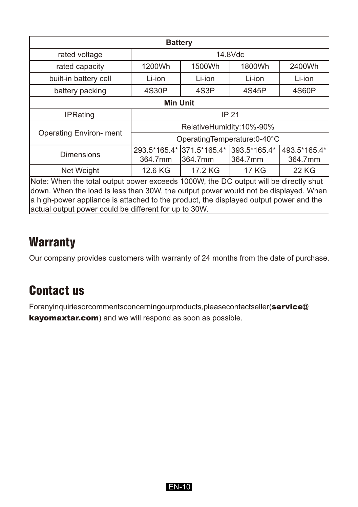| <b>Battery</b>                                                                                                                                                               |                             |                                        |         |              |  |
|------------------------------------------------------------------------------------------------------------------------------------------------------------------------------|-----------------------------|----------------------------------------|---------|--------------|--|
| rated voltage                                                                                                                                                                | 14.8Vdc                     |                                        |         |              |  |
| rated capacity                                                                                                                                                               | 1200Wh                      | 1500Wh                                 | 1800Wh  | 2400Wh       |  |
| built-in battery cell                                                                                                                                                        | Li-ion                      | Li-ion                                 | Li-ion  | Li-ion       |  |
| battery packing                                                                                                                                                              | 4S30P                       | 4S3P                                   | 4S45P   | 4S60P        |  |
| <b>Min Unit</b>                                                                                                                                                              |                             |                                        |         |              |  |
| <b>IPRating</b>                                                                                                                                                              | IP 21                       |                                        |         |              |  |
|                                                                                                                                                                              | RelativeHumidity:10%-90%    |                                        |         |              |  |
| <b>Operating Environ- ment</b>                                                                                                                                               | OperatingTemperature:0-40°C |                                        |         |              |  |
| <b>Dimensions</b>                                                                                                                                                            |                             | 293.5*165.4* 371.5*165.4* 393.5*165.4* |         | 493.5*165.4* |  |
|                                                                                                                                                                              | 364.7mm                     | 364.7mm                                | 364.7mm | 364.7mm      |  |
| Net Weight                                                                                                                                                                   | 12.6 KG                     | 17.2 KG                                | 17 KG   | 22 KG        |  |
| Note: When the total output power exceeds 1000W, the DC output will be directly shut                                                                                         |                             |                                        |         |              |  |
| down. When the load is less than 30W, the output power would not be displayed. When<br>a high-power appliance is attached to the product, the displayed output power and the |                             |                                        |         |              |  |
| actual output power could be different for up to 30W.                                                                                                                        |                             |                                        |         |              |  |

### **Warranty**

Our company provides customers with warranty of 24 months from the date of purchase.

### Contact us

For any inquiries or comments concerning our products, please contacts eller (service@ kayomaxtar.com) and we will respond as soon as possible.